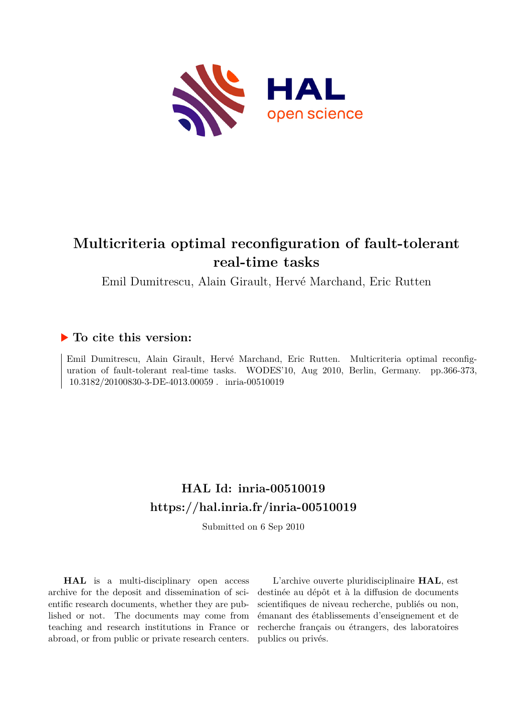

# **Multicriteria optimal reconfiguration of fault-tolerant real-time tasks**

Emil Dumitrescu, Alain Girault, Hervé Marchand, Eric Rutten

# **To cite this version:**

Emil Dumitrescu, Alain Girault, Hervé Marchand, Eric Rutten. Multicriteria optimal reconfiguration of fault-tolerant real-time tasks. WODES'10, Aug 2010, Berlin, Germany. pp.366-373, 10.3182/20100830-3-DE-4013.00059 . inria-00510019

# **HAL Id: inria-00510019 <https://hal.inria.fr/inria-00510019>**

Submitted on 6 Sep 2010

**HAL** is a multi-disciplinary open access archive for the deposit and dissemination of scientific research documents, whether they are published or not. The documents may come from teaching and research institutions in France or abroad, or from public or private research centers.

L'archive ouverte pluridisciplinaire **HAL**, est destinée au dépôt et à la diffusion de documents scientifiques de niveau recherche, publiés ou non, émanant des établissements d'enseignement et de recherche français ou étrangers, des laboratoires publics ou privés.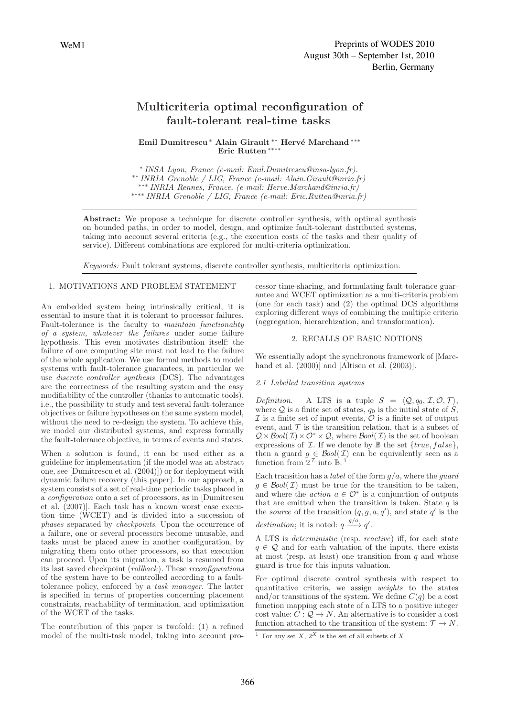# Multicriteria optimal reconfiguration of fault-tolerant real-time tasks

Emil Dumitrescu∗ Alain Girault ∗∗ Herv´e Marchand ∗∗∗ Eric Rutten ∗∗∗∗

∗ INSA Lyon, France (e-mail: Emil.Dumitrescu@insa-lyon.fr). ∗∗ INRIA Grenoble / LIG, France (e-mail: Alain.Girault@inria.fr) ∗∗∗ INRIA Rennes, France, (e-mail: Herve.Marchand@inria.fr) ∗∗∗∗ INRIA Grenoble / LIG, France (e-mail: Eric.Rutten@inria.fr)

Abstract: We propose a technique for discrete controller synthesis, with optimal synthesis on bounded paths, in order to model, design, and optimize fault-tolerant distributed systems, taking into account several criteria (e.g., the execution costs of the tasks and their quality of service). Different combinations are explored for multi-criteria optimization.

Keywords: Fault tolerant systems, discrete controller synthesis, multicriteria optimization.

## 1. MOTIVATIONS AND PROBLEM STATEMENT

An embedded system being intrinsically critical, it is essential to insure that it is tolerant to processor failures. Fault-tolerance is the faculty to maintain functionality of a system, whatever the failures under some failure hypothesis. This even motivates distribution itself: the failure of one computing site must not lead to the failure of the whole application. We use formal methods to model systems with fault-tolerance guarantees, in particular we use discrete controller synthesis (DCS). The advantages are the correctness of the resulting system and the easy modifiability of the controller (thanks to automatic tools), i.e., the possibility to study and test several fault-tolerance objectives or failure hypotheses on the same system model, without the need to re-design the system. To achieve this, we model our distributed systems, and express formally the fault-tolerance objective, in terms of events and states.

When a solution is found, it can be used either as a guideline for implementation (if the model was an abstract one, see [Dumitrescu et al. (2004)]) or for deployment with dynamic failure recovery (this paper). In our approach, a system consists of a set of real-time periodic tasks placed in a configuration onto a set of processors, as in [Dumitrescu et al. (2007)]. Each task has a known worst case execution time (WCET) and is divided into a succession of phases separated by checkpoints. Upon the occurrence of a failure, one or several processors become unusable, and tasks must be placed anew in another configuration, by migrating them onto other processors, so that execution can proceed. Upon its migration, a task is resumed from its last saved checkpoint (rollback). These reconfigurations of the system have to be controlled according to a faulttolerance policy, enforced by a task manager. The latter is specified in terms of properties concerning placement constraints, reachability of termination, and optimization of the WCET of the tasks.

The contribution of this paper is twofold: (1) a refined model of the multi-task model, taking into account processor time-sharing, and formulating fault-tolerance guarantee and WCET optimization as a multi-criteria problem (one for each task) and (2) the optimal DCS algorithms exploring different ways of combining the multiple criteria (aggregation, hierarchization, and transformation).

#### 2. RECALLS OF BASIC NOTIONS

We essentially adopt the synchronous framework of [Marchand et al.  $(2000)$ ] and [Altisen et al.  $(2003)$ ].

#### 2.1 Labelled transition systems

*Definition.* A LTS is a tuple  $S = \langle \mathcal{Q}, q_0, \mathcal{I}, \mathcal{O}, \mathcal{T} \rangle$ where  $Q$  is a finite set of states,  $q_0$  is the initial state of  $S$ ,  $\mathcal I$  is a finite set of input events,  $\mathcal O$  is a finite set of output event, and  $\mathcal T$  is the transition relation, that is a subset of  $Q \times \text{Bool}(\mathcal{I}) \times \mathcal{O}^* \times Q$ , where  $\text{Bool}(\mathcal{I})$  is the set of boolean expressions of  $I$ . If we denote by  $\mathbb B$  the set  $\{true, false\}$ , then a guard  $g \in \mathcal{B}ool(\mathcal{I})$  can be equivalently seen as a function from  $2^{\mathcal{I}}$  into  $\mathbb{B}.\mathbb{I}$ .

Each transition has a *label* of the form  $g/a$ , where the *guard*  $g \in \mathcal{B}ool(\mathcal{I})$  must be true for the transition to be taken, and where the *action*  $a \in \mathcal{O}^*$  is a conjunction of outputs that are emitted when the transition is taken. State  $q$  is the *source* of the transition  $(q, g, a, q')$ , and state q' is the destination; it is noted:  $q \xrightarrow{g/a} q'$ .

A LTS is deterministic (resp. reactive) iff, for each state  $q \in \mathcal{Q}$  and for each valuation of the inputs, there exists at most (resp. at least) one transition from  $q$  and whose guard is true for this inputs valuation.

For optimal discrete control synthesis with respect to quantitative criteria, we assign weights to the states and/or transitions of the system. We define  $C(q)$  be a cost function mapping each state of a LTS to a positive integer cost value:  $C : \mathcal{Q} \to N$ . An alternative is to consider a cost function attached to the transition of the system:  $\mathcal{T} \to N$ .

<sup>&</sup>lt;sup>1</sup> For any set X,  $2^X$  is the set of all subsets of X.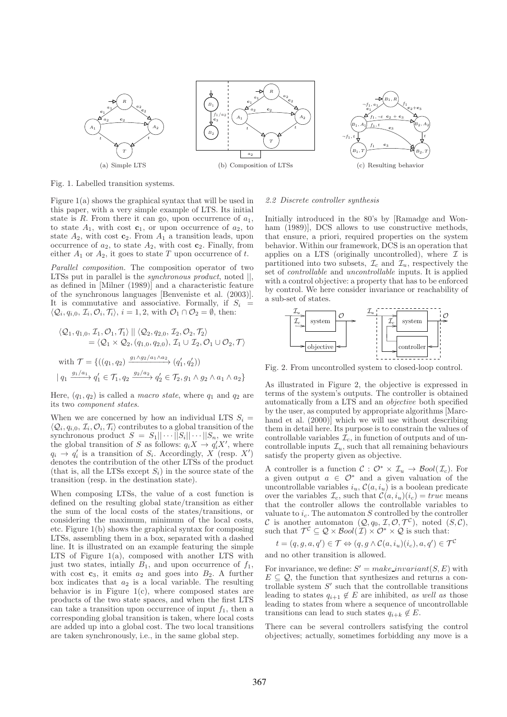

Fig. 1. Labelled transition systems.

Figure 1(a) shows the graphical syntax that will be used in this paper, with a very simple example of LTS. Its initial state is  $R$ . From there it can go, upon occurrence of  $a_1$ , to state  $A_1$ , with cost  $c_1$ , or upon occurrence of  $a_2$ , to state  $A_2$ , with cost  $c_2$ . From  $A_1$  a transition leads, upon occurrence of  $a_2$ , to state  $A_2$ , with cost  $c_2$ . Finally, from either  $A_1$  or  $A_2$ , it goes to state T upon occurrence of t.

Parallel composition. The composition operator of two LTSs put in parallel is the *synchronous product*, noted  $||$ , as defined in [Milner (1989)] and a characteristic feature of the synchronous languages [Benveniste et al. (2003)]. It is commutative and associative. Formally, if  $S_i =$  $\langle \mathcal{Q}_i, q_{i,0}, \mathcal{I}_i, \mathcal{O}_i, \mathcal{T}_i \rangle, i = 1, 2$ , with  $\mathcal{O}_1 \cap \mathcal{O}_2 = \emptyset$ , then:

$$
\langle \mathcal{Q}_1, q_{1,0}, \mathcal{I}_1, \mathcal{O}_1, \mathcal{T}_1 \rangle \mid \mid \langle \mathcal{Q}_2, q_{2,0}, \mathcal{I}_2, \mathcal{O}_2, \mathcal{T}_2 \rangle
$$
  
\n
$$
= \langle \mathcal{Q}_1 \times \mathcal{Q}_2, (q_{1,0}, q_{2,0}), \mathcal{I}_1 \cup \mathcal{T}_2, \mathcal{O}_1 \cup \mathcal{O}_2, \mathcal{T} \rangle
$$
  
\nwith  $\mathcal{T} = \{((q_1, q_2) \xrightarrow{g_1 \wedge g_2/a_1 \wedge a_2} (q'_1, q'_2))$   
\n
$$
\mid q_1 \xrightarrow{g_1/a_1} q'_1 \in \mathcal{T}_1, q_2 \xrightarrow{g_2/a_2} q'_2 \in \mathcal{T}_2, g_1 \wedge g_2 \wedge a_1 \wedge a_2\}
$$

Here,  $(q_1, q_2)$  is called a *macro state*, where  $q_1$  and  $q_2$  are its two component states.

When we are concerned by how an individual LTS  $S_i =$  $\langle \mathcal{Q}_i, q_{i,0}, L_i, U_i, I_i \rangle$  contributes to a global transition of the synchronous product  $S = S_1 || \cdots ||S_i || \cdots ||S_n$ , we write  $, q_{i,0}, \mathcal{I}_i, \mathcal{O}_i, \mathcal{T}_i \rangle$  contributes to a global transition of the the global transition of S as follows:  $q_i X \to q'_i X'$ , where  $q_i \rightarrow q'_i$  is a transition of  $S_i$ . Accordingly,  $X$  (resp.  $X'$ ) denotes the contribution of the other LTSs of the product (that is, all the LTSs except  $S_i$ ) in the source state of the transition (resp. in the destination state).

When composing LTSs, the value of a cost function is defined on the resulting global state/transition as either the sum of the local costs of the states/transitions, or considering the maximum, minimum of the local costs, etc. Figure 1(b) shows the graphical syntax for composing LTSs, assembling them in a box, separated with a dashed line. It is illustrated on an example featuring the simple LTS of Figure 1(a), composed with another LTS with just two states, initially  $B_1$ , and upon occurrence of  $f_1$ , with cost  $c_3$ , it emits  $a_2$  and goes into  $B_2$ . A further box indicates that  $a_2$  is a local variable. The resulting behavior is in Figure  $1(c)$ , where composed states are products of the two state spaces, and when the first LTS can take a transition upon occurrence of input  $f_1$ , then a corresponding global transition is taken, where local costs are added up into a global cost. The two local transitions are taken synchronously, i.e., in the same global step.

#### 2.2 Discrete controller synthesis

Initially introduced in the 80's by [Ramadge and Wonham (1989)], DCS allows to use constructive methods, that ensure, a priori, required properties on the system behavior. Within our framework, DCS is an operation that applies on a LTS (originally uncontrolled), where  $\mathcal I$  is partitioned into two subsets,  $\mathcal{I}_c$  and  $\mathcal{I}_u$ , respectively the set of controllable and uncontrollable inputs. It is applied with a control objective: a property that has to be enforced by control. We here consider invariance or reachability of a sub-set of states.



Fig. 2. From uncontrolled system to closed-loop control.

As illustrated in Figure 2, the objective is expressed in terms of the system's outputs. The controller is obtained automatically from a LTS and an objective both specified by the user, as computed by appropriate algorithms [Marchand et al. (2000)] which we will use without describing them in detail here. Its purpose is to constrain the values of controllable variables  $\mathcal{I}_c$ , in function of outputs and of uncontrollable inputs  $\mathcal{I}_u$ , such that all remaining behaviours satisfy the property given as objective.

A controller is a function  $C : \mathcal{O}^* \times \mathcal{I}_u \to \mathcal{B}ool(\mathcal{I}_c)$ . For a given output  $a \in \mathcal{O}^*$  and a given valuation of the uncontrollable variables  $i_u$ ,  $\mathcal{C}(a, i_u)$  is a boolean predicate over the variables  $\mathcal{I}_c$ , such that  $\mathcal{C}(a, i_u)(i_c) = true$  means that the controller allows the controllable variables to valuate to  $i_c$ . The automaton S controlled by the controller C is another automaton  $(Q, q_0, \mathcal{I}, \mathcal{O}, \mathcal{T}^c)$ , noted  $(S, \mathcal{C}),$ such that  $\mathcal{T}^{\mathcal{C}} \subseteq \mathcal{Q} \times \mathcal{B}ool(\mathcal{I}) \times \mathcal{O}^* \times \mathcal{Q}$  is such that:

 $t = (q, g, a, q') \in \mathcal{T} \Leftrightarrow (q, g \wedge C(a, i_u)(i_c), a, q') \in \mathcal{T}^C$ and no other transition is allowed.

For invariance, we define:  $S' = make\_invariant(S, E)$  with  $E \subseteq \mathcal{Q}$ , the function that synthesizes and returns a controllable system  $S'$  such that the controllable transitions leading to states  $q_{i+1} \notin E$  are inhibited, as well as those leading to states from where a sequence of uncontrollable transitions can lead to such states  $q_{i+k} \notin E$ .

There can be several controllers satisfying the control objectives; actually, sometimes forbidding any move is a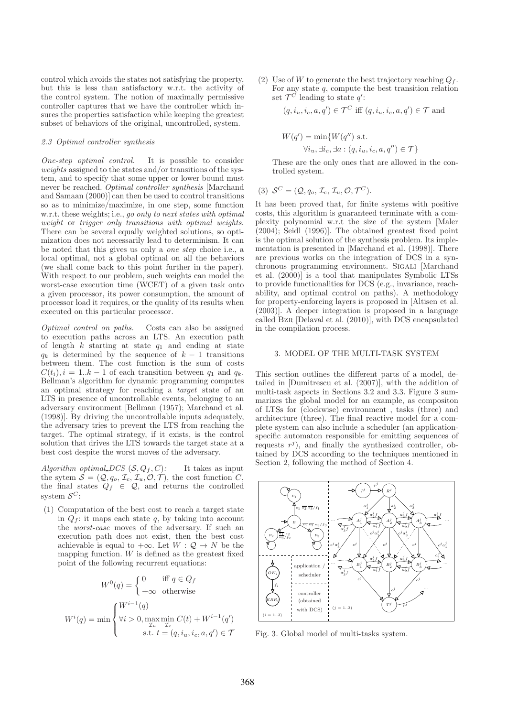control which avoids the states not satisfying the property, but this is less than satisfactory w.r.t. the activity of the control system. The notion of maximally permissive controller captures that we have the controller which insures the properties satisfaction while keeping the greatest subset of behaviors of the original, uncontrolled, system.

#### 2.3 Optimal controller synthesis

One-step optimal control. It is possible to consider weights assigned to the states and/or transitions of the system, and to specify that some upper or lower bound must never be reached. Optimal controller synthesis [Marchand and Samaan (2000)] can then be used to control transitions so as to minimize/maximize, in one step, some function w.r.t. these weights; i.e., go only to next states with optimal weight or trigger only transitions with optimal weights. There can be several equally weighted solutions, so optimization does not necessarily lead to determinism. It can be noted that this gives us only a one step choice i.e., a local optimal, not a global optimal on all the behaviors (we shall come back to this point further in the paper). With respect to our problem, such weights can model the worst-case execution time (WCET) of a given task onto a given processor, its power consumption, the amount of processor load it requires, or the quality of its results when executed on this particular processor.

Optimal control on paths. Costs can also be assigned to execution paths across an LTS. An execution path of length  $k$  starting at state  $q_1$  and ending at state  $q_k$  is determined by the sequence of  $k-1$  transitions between them. The cost function is the sum of costs  $C(t_i)$ ,  $i = 1..k - 1$  of each transition between  $q_1$  and  $q_k$ . Bellman's algorithm for dynamic programming computes an optimal strategy for reaching a target state of an LTS in presence of uncontrollable events, belonging to an adversary environment [Bellman (1957); Marchand et al. (1998)]. By driving the uncontrollable inputs adequately, the adversary tries to prevent the LTS from reaching the target. The optimal strategy, if it exists, is the control solution that drives the LTS towards the target state at a best cost despite the worst moves of the adversary.

Algorithm optimal DCS  $(S, Q_f, C)$ : It takes as input the sytem  $S = (Q, q_o, \mathcal{I}_c, \mathcal{I}_u, \mathcal{O}, \mathcal{T})$ , the cost function  $C$ , the final states  $Q_f \in \mathcal{Q}$ , and returns the controlled system  $S^C$ :

(1) Computation of the best cost to reach a target state in  $Q_f$ : it maps each state q, by taking into account the worst-case moves of the adversary. If such an execution path does not exist, then the best cost achievable is equal to  $+\infty$ . Let  $W: \mathcal{Q} \to N$  be the mapping function.  $W$  is defined as the greatest fixed point of the following recurrent equations:

$$
W^{0}(q) = \begin{cases} 0 & \text{iff } q \in Q_{f} \\ +\infty & \text{otherwise} \end{cases}
$$

$$
W^{i}(q) = \min \begin{cases} W^{i-1}(q) \\ \forall i > 0, \max_{\mathcal{I}_{u}} \min_{\mathcal{I}_{c}} C(t) + W^{i-1}(q') \\ \text{s.t. } t = (q, i_{u}, i_{c}, a, q') \in \mathcal{T} \end{cases}
$$

(2) Use of W to generate the best trajectory reaching  $Q_f$ . For any state  $q$ , compute the best transition relation set  $\mathcal{T}^C$  leading to state  $q'$ :

$$
(q, i_u, i_c, a, q') \in \mathcal{T}^C
$$
 iff  $(q, i_u, i_c, a, q') \in \mathcal{T}$  and

$$
W(q') = \min\{W(q'') \text{ s.t.}
$$
  

$$
\forall i_u, \exists i_c, \exists a : (q, i_u, i_c, a, q'') \in \mathcal{T}\}
$$

These are the only ones that are allowed in the controlled system.

$$
(3) \mathcal{S}^C = (\mathcal{Q}, q_o, \mathcal{I}_c, \mathcal{I}_u, \mathcal{O}, \mathcal{T}^C).
$$

It has been proved that, for finite systems with positive costs, this algorithm is guaranteed terminate with a complexity polynomial w.r.t the size of the system [Maler (2004); Seidl (1996)]. The obtained greatest fixed point is the optimal solution of the synthesis problem. Its implementation is presented in [Marchand et al. (1998)]. There are previous works on the integration of DCS in a synchronous programming environment. SIGALI [Marchand et al. (2000)] is a tool that manipulates Symbolic LTSs to provide functionalities for DCS (e.g., invariance, reachability, and optimal control on paths). A methodology for property-enforcing layers is proposed in [Altisen et al. (2003)]. A deeper integration is proposed in a language called Bzr [Delaval et al. (2010)], with DCS encapsulated in the compilation process.

### 3. MODEL OF THE MULTI-TASK SYSTEM

This section outlines the different parts of a model, detailed in [Dumitrescu et al. (2007)], with the addition of multi-task aspects in Sections 3.2 and 3.3. Figure 3 summarizes the global model for an example, as compositon of LTSs for (clockwise) environment , tasks (three) and architecture (three). The final reactive model for a complete system can also include a scheduler (an applicationspecific automaton responsible for emitting sequences of requests  $r^j$ ), and finally the synthesized controller, obtained by DCS according to the techniques mentioned in Section 2, following the method of Section 4.



Fig. 3. Global model of multi-tasks system.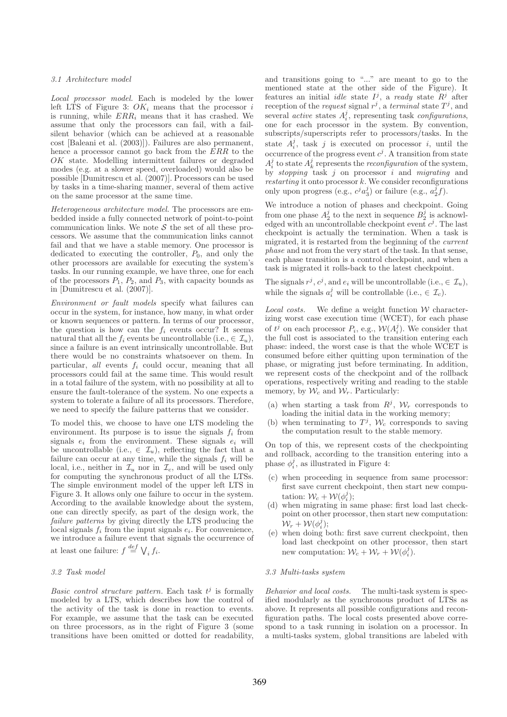### 3.1 Architecture model

Local processor model. Each is modeled by the lower left LTS of Figure 3:  $OK<sub>i</sub>$  means that the processor i is running, while  $ERR_i$  means that it has crashed. We assume that only the processors can fail, with a failsilent behavior (which can be achieved at a reasonable cost [Baleani et al. (2003)]). Failures are also permanent, hence a processor cannot go back from the ERR to the OK state. Modelling intermittent failures or degraded modes (e.g. at a slower speed, overloaded) would also be possible [Dumitrescu et al. (2007)]. Processors can be used by tasks in a time-sharing manner, several of them active on the same processor at the same time.

Heterogeneous architecture model. The processors are embedded inside a fully connected network of point-to-point communication links. We note  $S$  the set of all these processors. We assume that the communication links cannot fail and that we have a stable memory. One processor is dedicated to executing the controller,  $P_0$ , and only the other processors are available for executing the system's tasks. In our running example, we have three, one for each of the processors  $P_1$ ,  $P_2$ , and  $P_3$ , with capacity bounds as in [Dumitrescu et al. (2007)].

Environment or fault models specify what failures can occur in the system, for instance, how many, in what order or known sequences or pattern. In terms of our processor, the question is how can the  $f_i$  events occur? It seems natural that all the  $f_i$  events be uncontrollable (i.e.,  $\in \mathcal{I}_u$ ), since a failure is an event intrinsically uncontrollable. But there would be no constraints whatsoever on them. In particular, all events  $f_i$  could occur, meaning that all processors could fail at the same time. This would result in a total failure of the system, with no possibility at all to ensure the fault-tolerance of the system. No one expects a system to tolerate a failure of all its processors. Therefore, we need to specify the failure patterns that we consider.

To model this, we choose to have one LTS modeling the environment. Its purpose is to issue the signals  $f_i$  from signals  $e_i$  from the environment. These signals  $e_i$  will be uncontrollable (i.e.,  $\in \mathcal{I}_u$ ), reflecting the fact that a failure can occur at any time, while the signals  $f_i$  will be local, i.e., neither in  $\mathcal{I}_u$  nor in  $\mathcal{I}_c$ , and will be used only for computing the synchronous product of all the LTSs. The simple environment model of the upper left LTS in Figure 3. It allows only one failure to occur in the system. According to the available knowledge about the system, one can directly specify, as part of the design work, the failure patterns by giving directly the LTS producing the local signals  $f_i$  from the input signals  $e_i$ . For convenience, we introduce a failure event that signals the occurrence of at least one failure:  $f \stackrel{def}{=} \bigvee_i f_i$ .

# 3.2 Task model

Basic control structure pattern. Each task  $t^j$  is formally modeled by a LTS, which describes how the control of the activity of the task is done in reaction to events. For example, we assume that the task can be executed on three processors, as in the right of Figure 3 (some transitions have been omitted or dotted for readability,

and transitions going to "..." are meant to go to the mentioned state at the other side of the Figure). It features an initial *idle* state  $I^j$ , a ready state  $R^j$  after reception of the *request* signal  $r^j$ , a *terminal* state  $T^j$ , and several *active* states  $A_i^j$ , representing task *configurations*, one for each processor in the system. By convention, subscripts/superscripts refer to processors/tasks. In the state  $A_i^j$ , task j is executed on processor i, until the occurrence of the progress event  $c^j$ . A transition from state  $A_i^j$  to state  $A_k^j$  represents the *reconfiguration* of the system, by stopping task  $j$  on processor  $i$  and migrating and *restarting* it onto processor  $k$ . We consider reconfigurations only upon progress (e.g.,  $c^j a_3^j$ ) or failure (e.g.,  $a_2^j f$ ).

We introduce a notion of phases and checkpoint. Going from one phase  $A_2^j$  to the next in sequence  $B_2^j$  is acknowledged with an uncontrollable checkpoint event  $c^j$ . The last checkpoint is actually the termination. When a task is migrated, it is restarted from the beginning of the current phase and not from the very start of the task. In that sense, each phase transition is a control checkpoint, and when a task is migrated it rolls-back to the latest checkpoint.

The signals  $r^j$ ,  $c^j$ , and  $e_i$  will be uncontrollable (i.e.,  $\in \mathcal{I}_u$ ), while the signals  $a_i^j$  will be controllable (i.e.,  $\in \mathcal{I}_c$ ).

Local costs. We define a weight function  $W$  characterizing worst case execution time (WCET), for each phase of  $t^j$  on each processor  $P_i$ , e.g.,  $W(A_i^j)$ . We consider that the full cost is associated to the transition entering each phase: indeed, the worst case is that the whole WCET is consumed before either quitting upon termination of the phase, or migrating just before terminating. In addition, we represent costs of the checkpoint and of the rollback operations, respectively writing and reading to the stable memory, by  $W_c$  and  $W_r$ . Particularly:

- (a) when starting a task from  $R^j$ ,  $W_r$  corresponds to loading the initial data in the working memory;
- (b) when terminating to  $T^j$ ,  $\mathcal{W}_c$  corresponds to saving the computation result to the stable memory.

On top of this, we represent costs of the checkpointing and rollback, according to the transition entering into a phase  $\phi_i^j$ , as illustrated in Figure 4:

- (c) when proceeding in sequence from same processor: first save current checkpoint, then start new computation:  $\mathcal{W}_c + \mathcal{W}(\phi_i^j);$
- (d) when migrating in same phase: first load last checkpoint on other processor, then start new computation:  $\mathcal{W}_r + \mathcal{W}(\phi_i^j);$
- (e) when doing both: first save current checkpoint, then load last checkpoint on other processor, then start new computation:  $W_c + W_r + W(\phi_i^j)$ .

### 3.3 Multi-tasks system

Behavior and local costs. The multi-task system is specified modularly as the synchronous product of LTSs as above. It represents all possible configurations and reconfiguration paths. The local costs presented above correspond to a task running in isolation on a processor. In a multi-tasks system, global transitions are labeled with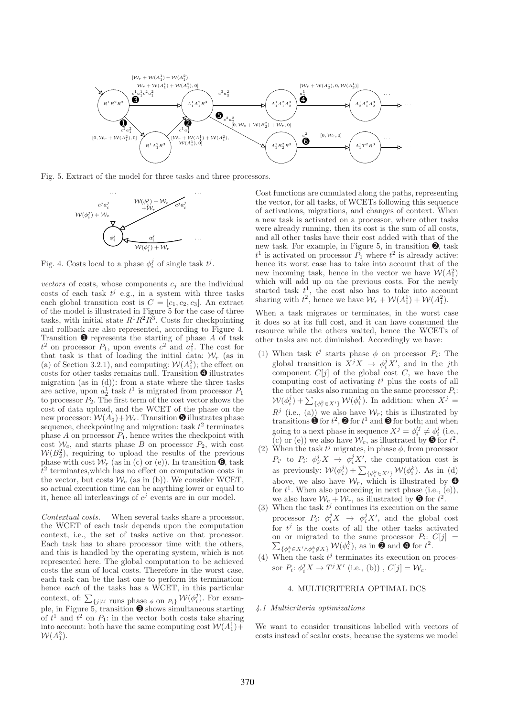

Fig. 5. Extract of the model for three tasks and three processors.



Fig. 4. Costs local to a phase  $\phi_i^j$  of single task  $t^j$ .

vectors of costs, whose components  $c_i$  are the individual costs of each task  $t^j$  e.g., in a system with three tasks each global transition cost is  $C = [c_1, c_2, c_3]$ . An extract of the model is illustrated in Figure 5 for the case of three tasks, with initial state  $R^1R^2R^3$ . Costs for checkpointing and rollback are also represented, according to Figure 4. Transition  $\bullet$  represents the starting of phase A of task  $t^2$  on processor  $P_1$ , upon events  $c^2$  and  $a_1^2$ . The cost for that task is that of loading the initial data:  $W_r$  (as in (a) of Section 3.2.1), and computing:  $W(A_1^2)$ ; the effect on costs for other tasks remains null. Transition ➍ illustrates migration (as in (d)): from a state where the three tasks are active, upon  $a_2^1$  task  $t^1$  is migrated from processor  $P_1$ to processor  $P_2$ . The first term of the cost vector shows the cost of data upload, and the WCET of the phase on the new processor:  $W(A_2^1) + W_r$ . Transition  $\bullet$  illustrates phase sequence, checkpointing and migration: task  $t^2$  terminates phase  $A$  on processor  $P_1$ , hence writes the checkpoint with cost  $W_c$ , and starts phase B on processor  $P_2$ , with cost  $W(B_2^2)$ , requiring to upload the results of the previous phase with cost  $\mathcal{W}_r$  (as in (c) or (e)). In transition  $\mathbf{\Theta}$ , task  $t<sup>2</sup>$  terminates, which has no effect on computation costs in the vector, but costs  $\mathcal{W}_c$  (as in (b)). We consider WCET, so actual execution time can be anything lower or equal to it, hence all interleavings of  $c^j$  events are in our model.

Contextual costs. When several tasks share a processor, the WCET of each task depends upon the computation context, i.e., the set of tasks active on that processor. Each task has to share processor time with the others, and this is handled by the operating system, which is not represented here. The global computation to be achieved costs the sum of local costs. Therefore in the worst case, each task can be the last one to perform its termination; hence each of the tasks has a WCET, in this particular context, of:  $\sum_{\{j|t^j\text{ runs phase } \phi \text{ on } P_i\}} \mathcal{W}(\phi_i^j)$ . For example, in Figure 5, transition ➌ shows simultaneous starting of  $t^1$  and  $t^2$  on  $P_1$ : in the vector both costs take sharing into account: both have the same computing cost  $W(A_1^1)$  +  $W(A_1^2)$ .

Cost functions are cumulated along the paths, representing the vector, for all tasks, of WCETs following this sequence of activations, migrations, and changes of context. When a new task is activated on a processor, where other tasks were already running, then its cost is the sum of all costs, and all other tasks have their cost added with that of the new task. For example, in Figure 5, in transition ➋, task  $t<sup>1</sup>$  is activated on processor  $P_1$  where  $t<sup>2</sup>$  is already active: hence its worst case has to take into account that of the new incoming task, hence in the vector we have  $W(A_1^2)$ which will add up on the previous costs. For the newly started task  $t^1$ , the cost also has to take into account sharing with  $t^2$ , hence we have  $\mathcal{W}_r + \mathcal{W}(A_1^1) + \mathcal{W}(A_1^2)$ .

When a task migrates or terminates, in the worst case it does so at its full cost, and it can have consumed the resource while the others waited, hence the WCETs of other tasks are not diminished. Accordingly we have:

- (1) When task  $t^j$  starts phase  $\phi$  on processor  $P_i$ : The global transition is  $X^j X \to \phi_i^j X'$ , and in the jth component  $C[j]$  of the global cost  $C$ , we have the computing cost of activating  $t^j$  plus the costs of all the other tasks also running on the same processor  $P_i$ :  $W(\phi_i^j) + \sum_{\{\phi_i^k \in X'\}} W(\phi_i^k)$ . In addition: when  $X^j =$  $R^j$  (i.e., (a)) we also have  $W_r$ ; this is illustrated by transitions  $\bullet$  for  $t^2$ ,  $\bullet$  for  $t^1$  and  $\bullet$  for both; and when going to a next phase in sequence  $X^j = \phi_i'^j \neq \phi_i^j$  (i.e., (c) or (e)) we also have  $\mathcal{W}_c$ , as illustrated by  $\bullet$  for  $t^2$ .
- (2) When the task  $t^j$  migrates, in phase  $\phi$ , from processor  $P_{i'}$  to  $P_i: \phi_{i'}^j X \to \phi_i^j X'$ , the computation cost is as previously:  $W(\phi_i^j) + \sum_{\{\phi_i^k \in X'\}} W(\phi_i^k)$ . As in (d) above, we also have  $\mathcal{W}_r$ , which is illustrated by  $\bullet$ for  $t^1$ . When also proceeding in next phase (i.e., (e)), we also have  $W_c + W_r$ , as illustrated by  $\bullet$  for  $t^2$ .
- (3) When the task  $t^j$  continues its execution on the same processor  $P_i: \phi_i^j X \to \phi_i^j X'$ , and the global cost for  $t^j$  is the costs of all the other tasks activated on or migrated to the same processor  $P_i: C[j] =$ on or migrated to the same processor  $P_i$ :  $C[j] = \sum_{\{\phi_i^k \in X' \wedge \phi_i^k \notin X\}} \mathcal{W}(\phi_i^k)$ , as in **@** and **@** for  $t^2$ .
- (4) When the task  $t^j$  terminates its execution on processor  $P_i: \phi_i^j X \to T^j X'$  (i.e., (b)),  $C[j] = \mathcal{W}_c$ .

# 4. MULTICRITERIA OPTIMAL DCS

#### 4.1 Multicriteria optimizations

We want to consider transitions labelled with vectors of costs instead of scalar costs, because the systems we model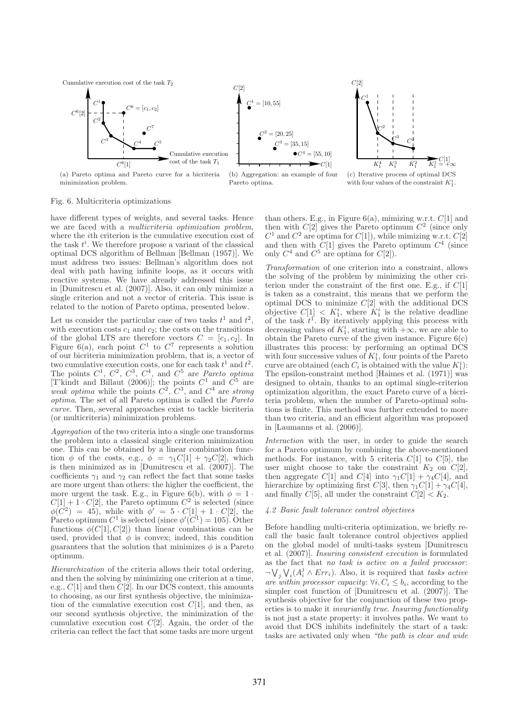Cumulative execution cost of the task  $T_2$ 









Fig. 6. Multicriteria optimizations

have different types of weights, and several tasks. Hence we are faced with a multicriteria optimization problem, where the ith criterion is the cumulative execution cost of the task  $t^i$ . We therefore propose a variant of the classical optimal DCS algorithm of Bellman [Bellman (1957)]. We must address two issues: Bellman's algorithm does not deal with path having infinite loops, as it occurs with reactive systems. We have already addressed this issue in [Dumitrescu et al. (2007)]. Also, it can only minimize a single criterion and not a vector of criteria. This issue is related to the notion of Pareto optima, presented below.

Let us consider the particular case of two tasks  $t^1$  and  $t^2$ , with execution costs  $c_1$  and  $c_2$ ; the costs on the transitions of the global LTS are therefore vectors  $C = [c_1, c_2]$ . In Figure 6(a), each point  $C^1$  to  $C^7$  represents a solution of our bicriteria minimization problem, that is, a vector of two cumulative execution costs, one for each task  $t^1$  and  $t^2$ . The points  $C^1$ ,  $C^2$ ,  $C^3$ ,  $C^4$ , and  $C^5$  are *Pareto optima* [T'kindt and Billaut (2006)]; the points  $C^1$  and  $C^5$  are weak optima while the points  $C^2$ ,  $C^3$ , and  $C^4$  are strong optima. The set of all Pareto optima is called the Pareto curve. Then, several approaches exist to tackle bicriteria (or multicriteria) minimization problems.

Aggregation of the two criteria into a single one transforms the problem into a classical single criterion minimization one. This can be obtained by a linear combination function  $\phi$  of the costs, e.g.,  $\phi = \gamma_1 C[1] + \gamma_2 C[2]$ , which is then minimized as in [Dumitrescu et al. (2007)]. The coefficients  $\gamma_1$  and  $\gamma_2$  can reflect the fact that some tasks are more urgent than others: the higher the coefficient, the more urgent the task. E.g., in Figure 6(b), with  $\phi = 1$ .  $C[1] + 1 \cdot C[2]$ , the Pareto optimum  $C^2$  is selected (since  $\phi(\vec{C}^2) = 45)$ , while with  $\phi' = 5 \cdot C[1] + 1 \cdot C[2]$ , the Pareto optimum  $C^1$  is selected (since  $\phi'(C^1) = 105$ ). Other functions  $\phi(C[1], C[2])$  than linear combinations can be used, provided that  $\phi$  is convex; indeed, this condition guarantees that the solution that minimizes  $\phi$  is a Pareto optimum.

Hierarchization of the criteria allows their total ordering, and then the solving by minimizing one criterion at a time, e.g.,  $C[1]$  and then  $\overline{C}[2]$ . In our DCS context, this amounts to choosing, as our first synthesis objective, the minimization of the cumulative execution cost  $C[1]$ , and then, as our second synthesis objective, the minimization of the cumulative execution cost  $C[2]$ . Again, the order of the criteria can reflect the fact that some tasks are more urgent than others. E.g., in Figure  $6(a)$ , mimizing w.r.t.  $C[1]$  and then with  $C[2]$  gives the Pareto optimum  $C<sup>2</sup>$  (since only  $C^1$  and  $C^2$  are optima for  $C[1]$ , while mimizing w.r.t.  $C[2]$ and then with  $C[1]$  gives the Pareto optimum  $C<sup>4</sup>$  (since only  $C^4$  and  $C^5$  are optima for  $C[2]$ .

Transformation of one criterion into a constraint, allows the solving of the problem by minimizing the other criterion under the constraint of the first one. E.g., if  $C[1]$ is taken as a constraint, this means that we perform the optimal DCS to minimize  $C[2]$  with the additional DCS objective  $C[1] \leq K_1^i$ , where  $K_1^i$  is the relative deadline of the task  $t^1$ . By iteratively applying this process with decreasing values of  $K_1^i$ , starting with  $+\infty$ , we are able to obtain the Pareto curve of the given instance. Figure  $6(c)$ illustrates this process: by performing an optimal DCS with four successive values of  $K_1^i$ , four points of the Pareto curve are obtained (each  $C_i$  is obtained with the value  $K_1^i$ ): The epsilon-constraint method [Haimes et al. (1971)] was designed to obtain, thanks to an optimal single-criterion optimization algorithm, the exact Pareto curve of a bicriteria problem, when the number of Pareto-optimal solutions is finite. This method was further extended to more than two criteria, and an efficient algorithm was proposed in [Laumanns et al. (2006)].

Interaction with the user, in order to guide the search for a Pareto optimum by combining the above-mentioned methods. For instance, with 5 criteria  $C[1]$  to  $C[5]$ , the user might choose to take the constraint  $K_2$  on  $C[2]$ , then aggregate C[1] and C[4] into  $\gamma_1C[1] + \gamma_4C[4]$ , and hierarchize by optimizing first  $C[3]$ , then  $\gamma_1 C[1] + \gamma_4 C[4]$ , and finally  $C[5]$ , all under the constraint  $C[2] < K_2$ .

#### 4.2 Basic fault tolerance control objectives

Before handling multi-criteria optimization, we briefly recall the basic fault tolerance control objectives applied on the global model of multi-tasks system [Dumitrescu et al. (2007)]. Insuring consistent execution is formulated as the fact that no task is active on a failed processor:  $\neg \bigvee_j \bigvee_i (A_i^j \wedge Err_i)$ . Also, it is required that tasks active are within processor capacity:  $\forall i, C_i \leq b_i$ , according to the simpler cost function of [Dumitrescu et al. (2007)]. The synthesis objective for the conjunction of these two properties is to make it invariantly true. Insuring functionality is not just a state property: it involves paths. We want to avoid that DCS inhibits indefinitely the start of a task: tasks are activated only when "the path is clear and wide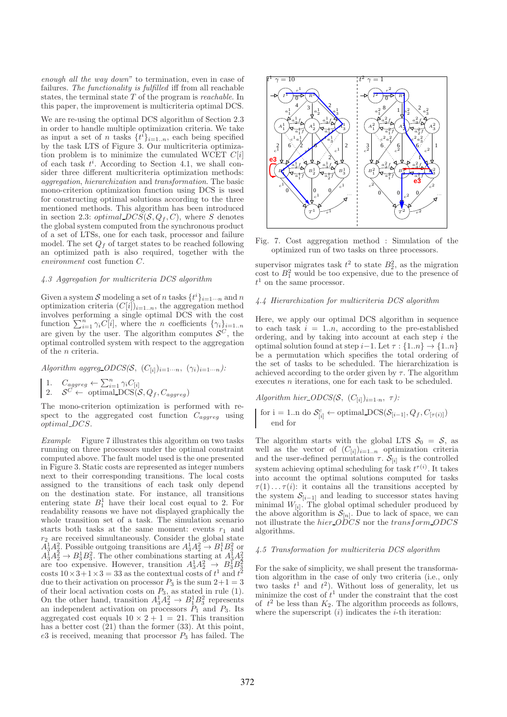enough all the way down" to termination, even in case of failures. The functionality is fulfilled iff from all reachable states, the terminal state  $T$  of the program is *reachable*. In this paper, the improvement is multicriteria optimal DCS.

We are re-using the optimal DCS algorithm of Section 2.3 in order to handle multiple optimization criteria. We take as input a set of n tasks  $\{t^i\}_{i=1..n}$ , each being specified by the task LTS of Figure 3. Our multicriteria optimization problem is to minimize the cumulated WCET  $C[i]$ of each task  $t^i$ . According to Section 4.1, we shall consider three different multicriteria optimization methods: aggregation, hierarchization and transformation. The basic mono-criterion optimization function using DCS is used for constructing optimal solutions according to the three mentioned methods. This algorithm has been introduced in section 2.3: *optimal\_DCS*( $S, Q_f, C$ ), where S denotes the global system computed from the synchronous product of a set of LTSs, one for each task, processor and failure model. The set  $Q_f$  of target states to be reached following an optimized path is also required, together with the environment cost function C.

#### 4.3 Aggregation for multicriteria DCS algorithm

Given a system S modeling a set of n tasks  $\{t^i\}_{i=1\cdots n}$  and n optimization criteria  $(C[i])_{i=1..n}$ , the aggregation method involves performing a single optimal DCS with the cost function  $\sum_{i=1}^{n} \gamma_i C[i]$ , where the *n* coefficients  $\{\gamma_i\}_{i=1..n}$ are given by the user. The algorithm computes  $\mathcal{S}^C$ , the optimal controlled system with respect to the aggregation of the n criteria.

Algorithm aggreg\_ $ODCS(\mathcal{S}, (C_{[i]})_{i=1\cdots n}, (\gamma_i)_{i=1\cdots n})$ :

1.  $C_{aggreg} \leftarrow \sum_{i=1}^{n} \gamma_i C_{[i]}$ 2.  $S^C \leftarrow$  optimal  $DCS(S, Q_f, C_{aggregate})$ 

The mono-criterion optimization is performed with respect to the aggregated cost function  $C_{aq\bar{q}r\bar{e}q}$  using optimal DCS.

Example Figure 7 illustrates this algorithm on two tasks running on three processors under the optimal constraint computed above. The fault model used is the one presented in Figure 3. Static costs are represented as integer numbers next to their corresponding transitions. The local costs assigned to the transitions of each task only depend on the destination state. For instance, all transitions entering state  $B_1^1$  have their local cost equal to 2. For readability reasons we have not displayed graphically the whole transition set of a task. The simulation scenario starts both tasks at the same moment: events  $r_1$  and  $r_2$  are received simultaneously. Consider the global state  $A_3^1A_2^2 \rightarrow B_1^1B_3^2$  or  $A_3^1A_2^2 \rightarrow B_1^1B_3^2$  or  $A_3^1 A_2^2 \rightarrow B_3^1 B_3^2$ . The other combinations starting at  $A_3^1 A_2^2$ <br>are too expensive. However, transition  $A_3^1 A_2^2 \rightarrow B_3^1 B_3^2$ <br>costs  $10 \times 3 + 1 \times 3 = 33$  as the contextual costs of  $t^1$  and  $t^2$ due to their activation on processor  $P_3$  is the sum  $2+1=3$ of their local activation costs on  $P_3$ , as stated in rule (1). On the other hand, transition  $A_3^1A_2^2 \rightarrow B_1^1B_3^2$  represents an independent activation on processors  $P_1$  and  $P_3$ . Its aggregated cost equals  $10 \times 2 + 1 = 21$ . This transition has a better cost  $(21)$  than the former  $(33)$ . At this point,  $e3$  is received, meaning that processor  $P_3$  has failed. The



Fig. 7. Cost aggregation method : Simulation of the optimized run of two tasks on three processors.

supervisor migrates task  $t^2$  to state  $B_2^2$ , as the migration cost to  $B_1^2$  would be too expensive, due to the presence of  $t<sup>1</sup>$  on the same processor.

#### 4.4 Hierarchization for multicriteria DCS algorithm

Here, we apply our optimal DCS algorithm in sequence to each task  $i = 1..n$ , according to the pre-established ordering, and by taking into account at each step  $i$  the optimal solution found at step i–1. Let  $\tau : \{1..n\} \rightarrow \{1..n\}$ be a permutation which specifies the total ordering of the set of tasks to be scheduled. The hierarchization is achieved according to the order given by  $\tau$ . The algorithm executes n iterations, one for each task to be scheduled.

Algorithm hier\_ $ODCS(S, (C_{[i]})_{i=1:n}, \tau)$ : for i = 1..n do  $S_{[i]}^c \leftarrow$  optimal  $DCS(S_{[i-1]}, Q_f, C_{[\tau(i)]})$ end for

The algorithm starts with the global LTS  $S_0 = S$ , as well as the vector of  $(C_{[i]})_{i=1..n}$  optimization criteria and the user-defined permutation  $\tau$ .  $\mathcal{S}_{[i]}$  is the controlled system achieving optimal scheduling for task  $t^{\tau(i)}$ . It takes into account the optimal solutions computed for tasks  $\tau(1) \ldots \tau(i)$ : it contains all the transitions accepted by the system  $\mathcal{S}_{[i-1]}$  and leading to successor states having minimal  $W_{[i]}$ . The global optimal scheduler produced by the above algorithm is  $S_{[n]}$ . Due to lack of space, we can not illustrate the *hier* ODCS nor the transform ODCS algorithms.

# 4.5 Transformation for multicriteria DCS algorithm

For the sake of simplicity, we shall present the transformation algorithm in the case of only two criteria (i.e., only two tasks  $t^1$  and  $t^2$ ). Without loss of generality, let us minimize the cost of  $t^1$  under the constraint that the cost of  $t^2$  be less than  $K_2$ . The algorithm proceeds as follows, where the superscript  $(i)$  indicates the *i*-th iteration: